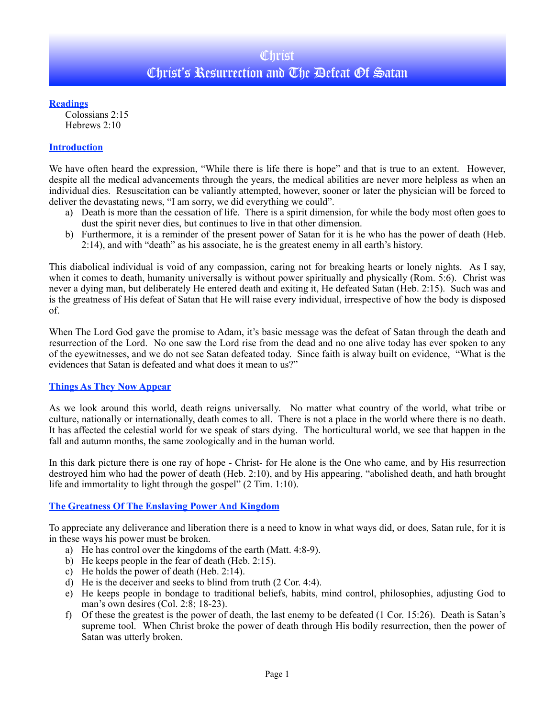## **Christ** Christ's Resurrection and The Defeat Of Satan

**Readings**

Colossians 2:15 Hebrews 2:10

## **Introduction**

We have often heard the expression, "While there is life there is hope" and that is true to an extent. However, despite all the medical advancements through the years, the medical abilities are never more helpless as when an individual dies. Resuscitation can be valiantly attempted, however, sooner or later the physician will be forced to deliver the devastating news, "I am sorry, we did everything we could".

- a) Death is more than the cessation of life. There is a spirit dimension, for while the body most often goes to dust the spirit never dies, but continues to live in that other dimension.
- b) Furthermore, it is a reminder of the present power of Satan for it is he who has the power of death (Heb. 2:14), and with "death" as his associate, he is the greatest enemy in all earth's history.

This diabolical individual is void of any compassion, caring not for breaking hearts or lonely nights. As I say, when it comes to death, humanity universally is without power spiritually and physically (Rom. 5:6). Christ was never a dying man, but deliberately He entered death and exiting it, He defeated Satan (Heb. 2:15). Such was and is the greatness of His defeat of Satan that He will raise every individual, irrespective of how the body is disposed of.

When The Lord God gave the promise to Adam, it's basic message was the defeat of Satan through the death and resurrection of the Lord. No one saw the Lord rise from the dead and no one alive today has ever spoken to any of the eyewitnesses, and we do not see Satan defeated today. Since faith is alway built on evidence, "What is the evidences that Satan is defeated and what does it mean to us?"

#### **Things As They Now Appear**

As we look around this world, death reigns universally. No matter what country of the world, what tribe or culture, nationally or internationally, death comes to all. There is not a place in the world where there is no death. It has affected the celestial world for we speak of stars dying. The horticultural world, we see that happen in the fall and autumn months, the same zoologically and in the human world.

In this dark picture there is one ray of hope - Christ- for He alone is the One who came, and by His resurrection destroyed him who had the power of death (Heb. 2:10), and by His appearing, "abolished death, and hath brought life and immortality to light through the gospel" (2 Tim. 1:10).

## **The Greatness Of The Enslaving Power And Kingdom**

To appreciate any deliverance and liberation there is a need to know in what ways did, or does, Satan rule, for it is in these ways his power must be broken.

- a) He has control over the kingdoms of the earth (Matt. 4:8-9).
- b) He keeps people in the fear of death (Heb. 2:15).
- c) He holds the power of death (Heb. 2:14).
- d) He is the deceiver and seeks to blind from truth (2 Cor. 4:4).
- e) He keeps people in bondage to traditional beliefs, habits, mind control, philosophies, adjusting God to man's own desires (Col. 2:8; 18-23).
- f) Of these the greatest is the power of death, the last enemy to be defeated (1 Cor. 15:26). Death is Satan's supreme tool. When Christ broke the power of death through His bodily resurrection, then the power of Satan was utterly broken.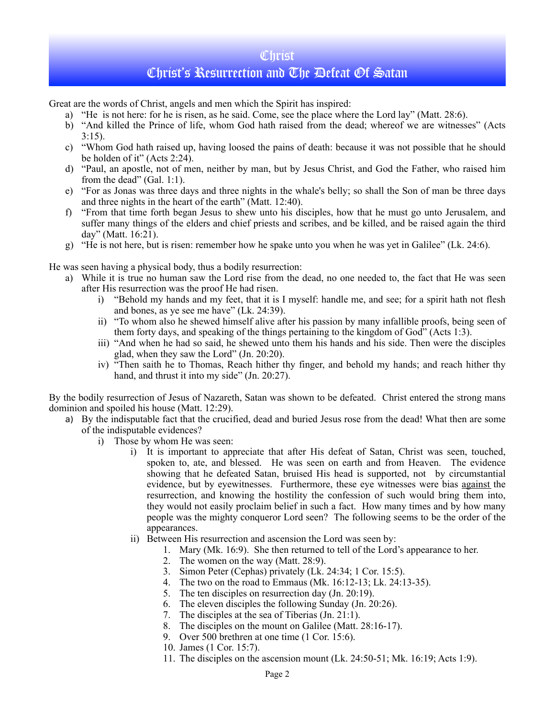## **Christ**

# Christ's Resurrection and The Defeat Of Satan

Great are the words of Christ, angels and men which the Spirit has inspired:

- a) "He is not here: for he is risen, as he said. Come, see the place where the Lord lay" (Matt. 28:6).
- b) "And killed the Prince of life, whom God hath raised from the dead; whereof we are witnesses" (Acts  $3:15$ ).
- c) "Whom God hath raised up, having loosed the pains of death: because it was not possible that he should be holden of it" (Acts 2:24).
- d) "Paul, an apostle, not of men, neither by man, but by Jesus Christ, and God the Father, who raised him from the dead" (Gal. 1:1).
- e) "For as Jonas was three days and three nights in the whale's belly; so shall the Son of man be three days and three nights in the heart of the earth" (Matt. 12:40).
- f) "From that time forth began Jesus to shew unto his disciples, how that he must go unto Jerusalem, and suffer many things of the elders and chief priests and scribes, and be killed, and be raised again the third day" (Matt. 16:21).
- g) "He is not here, but is risen: remember how he spake unto you when he was yet in Galilee" (Lk. 24:6).

He was seen having a physical body, thus a bodily resurrection:

- a) While it is true no human saw the Lord rise from the dead, no one needed to, the fact that He was seen after His resurrection was the proof He had risen.
	- i) "Behold my hands and my feet, that it is I myself: handle me, and see; for a spirit hath not flesh and bones, as ye see me have" (Lk. 24:39).
	- ii) "To whom also he shewed himself alive after his passion by many infallible proofs, being seen of them forty days, and speaking of the things pertaining to the kingdom of God" (Acts 1:3).
	- iii) "And when he had so said, he shewed unto them his hands and his side. Then were the disciples glad, when they saw the Lord" (Jn. 20:20).
	- iv) "Then saith he to Thomas, Reach hither thy finger, and behold my hands; and reach hither thy hand, and thrust it into my side" (Jn. 20:27).

By the bodily resurrection of Jesus of Nazareth, Satan was shown to be defeated. Christ entered the strong mans dominion and spoiled his house (Matt. 12:29).

- a) By the indisputable fact that the crucified, dead and buried Jesus rose from the dead! What then are some of the indisputable evidences?
	- i) Those by whom He was seen:
		- i) It is important to appreciate that after His defeat of Satan, Christ was seen, touched, spoken to, ate, and blessed. He was seen on earth and from Heaven. The evidence showing that he defeated Satan, bruised His head is supported, not by circumstantial evidence, but by eyewitnesses. Furthermore, these eye witnesses were bias against the resurrection, and knowing the hostility the confession of such would bring them into, they would not easily proclaim belief in such a fact. How many times and by how many people was the mighty conqueror Lord seen? The following seems to be the order of the appearances.
		- ii) Between His resurrection and ascension the Lord was seen by:
			- 1. Mary (Mk. 16:9). She then returned to tell of the Lord's appearance to her.
				- 2. The women on the way (Matt. 28:9).
				- 3. Simon Peter (Cephas) privately (Lk. 24:34; 1 Cor. 15:5).
			- 4. The two on the road to Emmaus (Mk. 16:12-13; Lk. 24:13-35).
			- 5. The ten disciples on resurrection day (Jn. 20:19).
			- 6. The eleven disciples the following Sunday (Jn. 20:26).
			- 7. The disciples at the sea of Tiberias (Jn. 21:1).
			- 8. The disciples on the mount on Galilee (Matt. 28:16-17).
			- 9. Over 500 brethren at one time (1 Cor. 15:6).
			- 10. James (1 Cor. 15:7).
			- 11. The disciples on the ascension mount (Lk. 24:50-51; Mk. 16:19; Acts 1:9).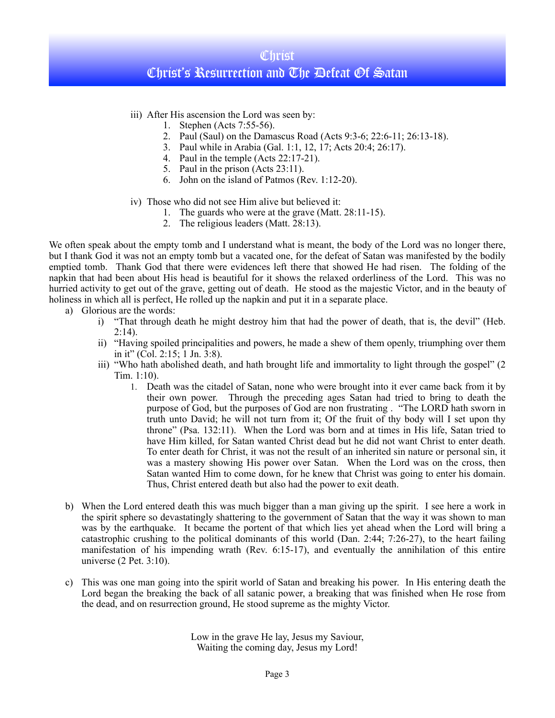## **Christ** Christ's Resurrection and The Defeat Of Satan

- iii) After His ascension the Lord was seen by:
	- 1. Stephen (Acts 7:55-56).
	- 2. Paul (Saul) on the Damascus Road (Acts 9:3-6; 22:6-11; 26:13-18).
	- 3. Paul while in Arabia (Gal. 1:1, 12, 17; Acts 20:4; 26:17).
	- 4. Paul in the temple (Acts 22:17-21).
	- 5. Paul in the prison (Acts 23:11).
	- 6. John on the island of Patmos (Rev. 1:12-20).
- iv) Those who did not see Him alive but believed it:
	- 1. The guards who were at the grave (Matt. 28:11-15).
	- 2. The religious leaders (Matt. 28:13).

We often speak about the empty tomb and I understand what is meant, the body of the Lord was no longer there, but I thank God it was not an empty tomb but a vacated one, for the defeat of Satan was manifested by the bodily emptied tomb. Thank God that there were evidences left there that showed He had risen. The folding of the napkin that had been about His head is beautiful for it shows the relaxed orderliness of the Lord. This was no hurried activity to get out of the grave, getting out of death. He stood as the majestic Victor, and in the beauty of holiness in which all is perfect, He rolled up the napkin and put it in a separate place.

- a) Glorious are the words:
	- i) "That through death he might destroy him that had the power of death, that is, the devil" (Heb.  $2:14$ ).
	- ii) "Having spoiled principalities and powers, he made a shew of them openly, triumphing over them in it" (Col. 2:15;  $\overline{1}$  Jn.  $\overline{3}$ :8).
	- iii) "Who hath abolished death, and hath brought life and immortality to light through the gospel" (2 Tim. 1:10).
		- 1. Death was the citadel of Satan, none who were brought into it ever came back from it by their own power. Through the preceding ages Satan had tried to bring to death the purpose of God, but the purposes of God are non frustrating . "The LORD hath sworn in truth unto David; he will not turn from it; Of the fruit of thy body will I set upon thy throne" (Psa. 132:11). When the Lord was born and at times in His life, Satan tried to have Him killed, for Satan wanted Christ dead but he did not want Christ to enter death. To enter death for Christ, it was not the result of an inherited sin nature or personal sin, it was a mastery showing His power over Satan. When the Lord was on the cross, then Satan wanted Him to come down, for he knew that Christ was going to enter his domain. Thus, Christ entered death but also had the power to exit death.
- b) When the Lord entered death this was much bigger than a man giving up the spirit. I see here a work in the spirit sphere so devastatingly shattering to the government of Satan that the way it was shown to man was by the earthquake. It became the portent of that which lies yet ahead when the Lord will bring a catastrophic crushing to the political dominants of this world (Dan. 2:44; 7:26-27), to the heart failing manifestation of his impending wrath (Rev. 6:15-17), and eventually the annihilation of this entire universe (2 Pet. 3:10).
- c) This was one man going into the spirit world of Satan and breaking his power. In His entering death the Lord began the breaking the back of all satanic power, a breaking that was finished when He rose from the dead, and on resurrection ground, He stood supreme as the mighty Victor.

Low in the grave He lay, Jesus my Saviour, Waiting the coming day, Jesus my Lord!